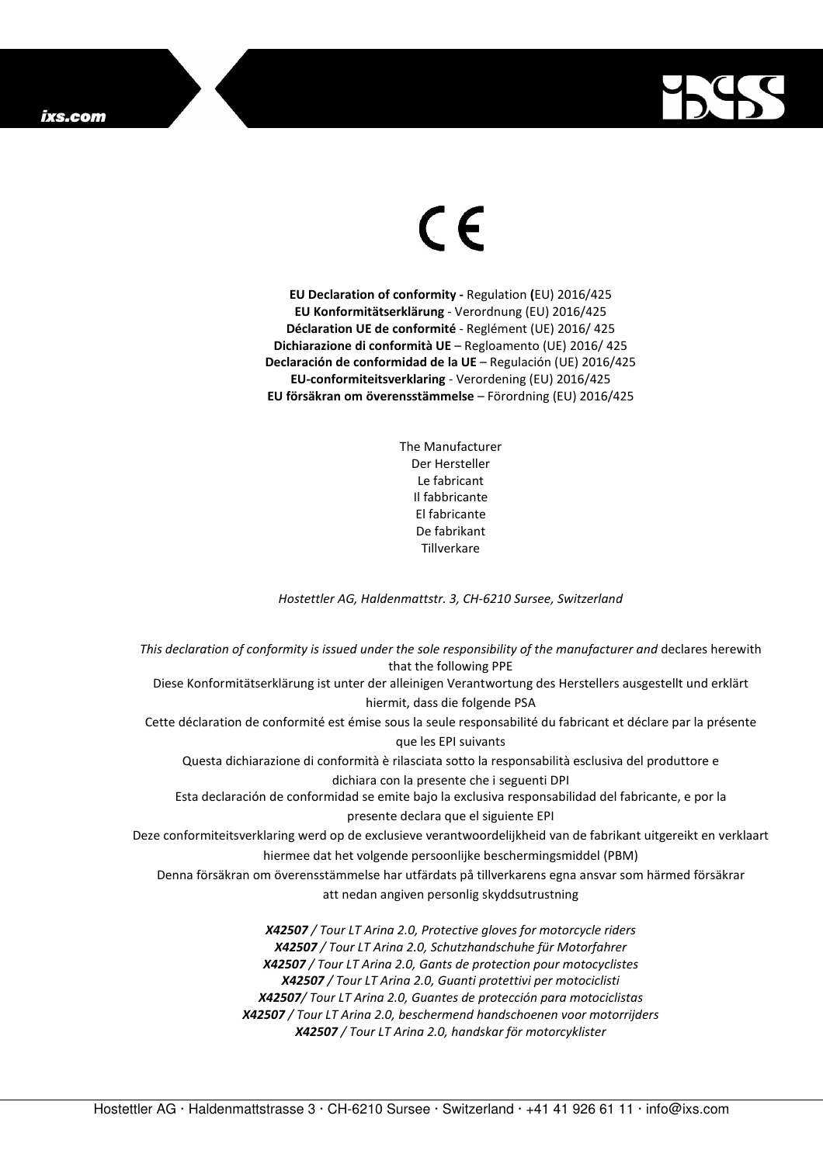## ixs.com



## $\in$

**EU Declaration of conformity -** Regulation **(**EU) 2016/425 **EU Konformitätserklärung** - Verordnung (EU) 2016/425 **Déclaration UE de conformité** - Reglément (UE) 2016/ 425 **Dichiarazione di conformità UE** – Regloamento (UE) 2016/ 425 **Declaración de conformidad de la UE** – Regulación (UE) 2016/425 **EU-conformiteitsverklaring** - Verordening (EU) 2016/425 **EU försäkran om överensstämmelse** – Förordning (EU) 2016/425

> The Manufacturer Der Hersteller Le fabricant Il fabbricante El fabricante De fabrikant **Tillverkare**

*Hostettler AG, Haldenmattstr. 3, CH-6210 Sursee, Switzerland* 

*This declaration of conformity is issued under the sole responsibility of the manufacturer and* declares herewith that the following PPE Diese Konformitätserklärung ist unter der alleinigen Verantwortung des Herstellers ausgestellt und erklärt hiermit, dass die folgende PSA Cette déclaration de conformité est émise sous la seule responsabilité du fabricant et déclare par la présente que les EPI suivants Questa dichiarazione di conformità è rilasciata sotto la responsabilità esclusiva del produttore e dichiara con la presente che i seguenti DPI Esta declaración de conformidad se emite bajo la exclusiva responsabilidad del fabricante, e por la presente declara que el siguiente EPI Deze conformiteitsverklaring werd op de exclusieve verantwoordelijkheid van de fabrikant uitgereikt en verklaart hiermee dat het volgende persoonlijke beschermingsmiddel (PBM) Denna försäkran om överensstämmelse har utfärdats på tillverkarens egna ansvar som härmed försäkrar att nedan angiven personlig skyddsutrustning *X42507 / Tour LT Arina 2.0, Protective gloves for motorcycle riders X42507 / Tour LT Arina 2.0, Schutzhandschuhe für Motorfahrer X42507 / Tour LT Arina 2.0, Gants de protection pour motocyclistes X42507 / Tour LT Arina 2.0, Guanti protettivi per motociclisti X42507/ Tour LT Arina 2.0, Guantes de protección para motociclistas* 

*X42507 / Tour LT Arina 2.0, beschermend handschoenen voor motorrijders* 

*X42507 / Tour LT Arina 2.0, handskar för motorcyklister*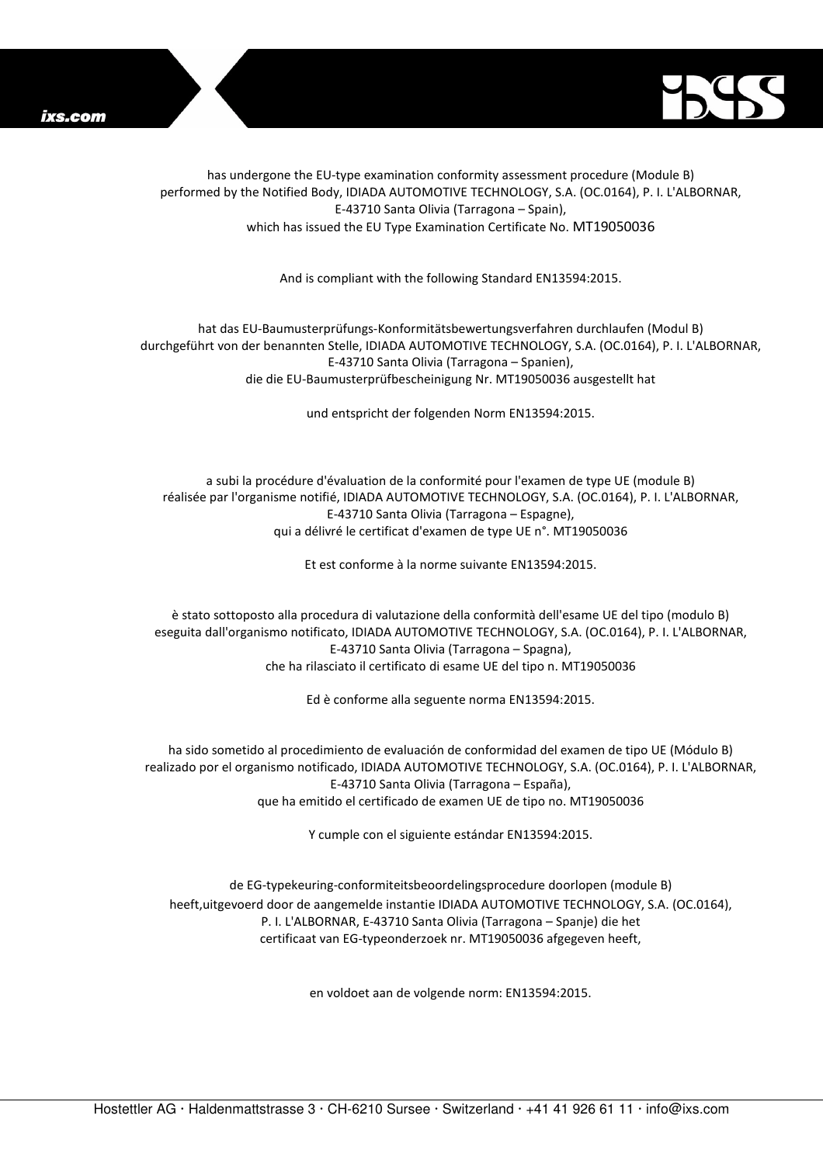



has undergone the EU-type examination conformity assessment procedure (Module B) performed by the Notified Body, IDIADA AUTOMOTIVE TECHNOLOGY, S.A. (OC.0164), P. I. L'ALBORNAR, E-43710 Santa Olivia (Tarragona – Spain), which has issued the EU Type Examination Certificate No. MT19050036

And is compliant with the following Standard EN13594:2015.

hat das EU-Baumusterprüfungs-Konformitätsbewertungsverfahren durchlaufen (Modul B) durchgeführt von der benannten Stelle, IDIADA AUTOMOTIVE TECHNOLOGY, S.A. (OC.0164), P. I. L'ALBORNAR, E-43710 Santa Olivia (Tarragona – Spanien), die die EU-Baumusterprüfbescheinigung Nr. MT19050036 ausgestellt hat

und entspricht der folgenden Norm EN13594:2015.

a subi la procédure d'évaluation de la conformité pour l'examen de type UE (module B) réalisée par l'organisme notifié, IDIADA AUTOMOTIVE TECHNOLOGY, S.A. (OC.0164), P. I. L'ALBORNAR, E-43710 Santa Olivia (Tarragona – Espagne), qui a délivré le certificat d'examen de type UE n°. MT19050036

Et est conforme à la norme suivante EN13594:2015.

è stato sottoposto alla procedura di valutazione della conformità dell'esame UE del tipo (modulo B) eseguita dall'organismo notificato, IDIADA AUTOMOTIVE TECHNOLOGY, S.A. (OC.0164), P. I. L'ALBORNAR, E-43710 Santa Olivia (Tarragona – Spagna), che ha rilasciato il certificato di esame UE del tipo n. MT19050036

Ed è conforme alla seguente norma EN13594:2015.

ha sido sometido al procedimiento de evaluación de conformidad del examen de tipo UE (Módulo B) realizado por el organismo notificado, IDIADA AUTOMOTIVE TECHNOLOGY, S.A. (OC.0164), P. I. L'ALBORNAR, E-43710 Santa Olivia (Tarragona – España), que ha emitido el certificado de examen UE de tipo no. MT19050036

Y cumple con el siguiente estándar EN13594:2015.

de EG-typekeuring-conformiteitsbeoordelingsprocedure doorlopen (module B) heeft,uitgevoerd door de aangemelde instantie IDIADA AUTOMOTIVE TECHNOLOGY, S.A. (OC.0164), P. I. L'ALBORNAR, E-43710 Santa Olivia (Tarragona – Spanje) die het certificaat van EG-typeonderzoek nr. MT19050036 afgegeven heeft,

en voldoet aan de volgende norm: EN13594:2015.